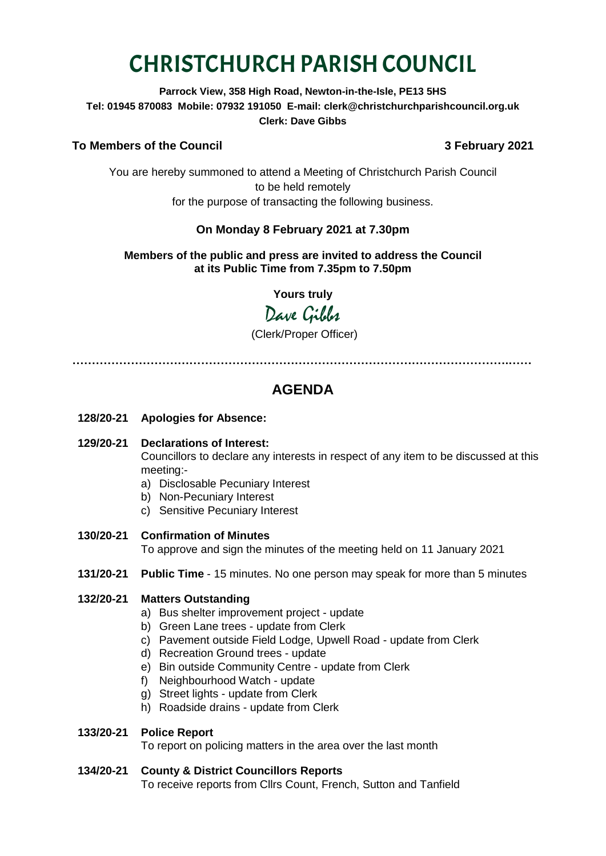# CHRISTCHURCH PARISH COUNCIL

**Parrock View, 358 High Road, Newton-in-the-Isle, PE13 5HS Tel: 01945 870083 Mobile: 07932 191050 E-mail: clerk@christchurchparishcouncil.org.uk Clerk: Dave Gibbs**

# **To Members of the Council 3 February 2021**

You are hereby summoned to attend a Meeting of Christchurch Parish Council to be held remotely for the purpose of transacting the following business.

# **On Monday 8 February 2021 at 7.30pm**

#### **Members of the public and press are invited to address the Council at its Public Time from 7.35pm to 7.50pm**

**Yours truly**

Dave Gilber

(Clerk/Proper Officer)

**………………………………………………………………………………………………….……**

# **AGENDA**

- **128/20-21 Apologies for Absence:**
- **129/20-21 Declarations of Interest:**

Councillors to declare any interests in respect of any item to be discussed at this meeting:-

- a) Disclosable Pecuniary Interest
- b) Non-Pecuniary Interest
- c) Sensitive Pecuniary Interest
- **130/20-21 Confirmation of Minutes**

To approve and sign the minutes of the meeting held on 11 January 2021

**131/20-21 Public Time** - 15 minutes. No one person may speak for more than 5 minutes

#### **132/20-21 Matters Outstanding**

- a) Bus shelter improvement project update
- b) Green Lane trees update from Clerk
- c) Pavement outside Field Lodge, Upwell Road update from Clerk
- d) Recreation Ground trees update
- e) Bin outside Community Centre update from Clerk
- f) Neighbourhood Watch update
- g) Street lights update from Clerk
- h) Roadside drains update from Clerk

#### **133/20-21 Police Report**

To report on policing matters in the area over the last month

#### **134/20-21 County & District Councillors Reports**

To receive reports from Cllrs Count, French, Sutton and Tanfield